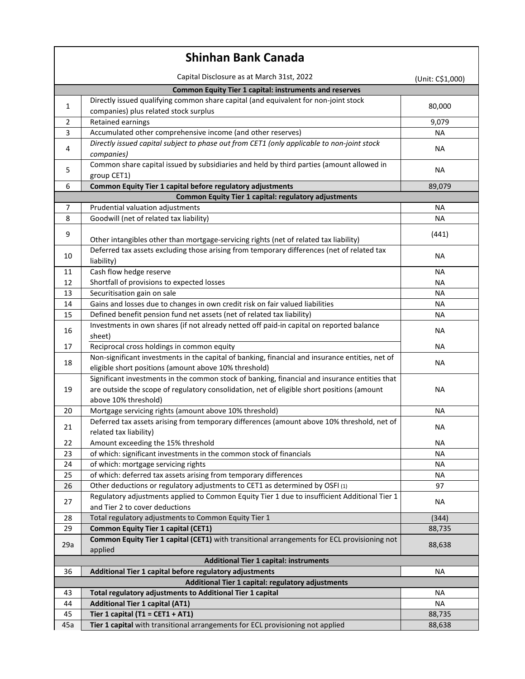| <b>Shinhan Bank Canada</b>                                    |                                                                                                                                                                                                                     |                  |  |
|---------------------------------------------------------------|---------------------------------------------------------------------------------------------------------------------------------------------------------------------------------------------------------------------|------------------|--|
|                                                               | Capital Disclosure as at March 31st, 2022                                                                                                                                                                           | (Unit: C\$1,000) |  |
| <b>Common Equity Tier 1 capital: instruments and reserves</b> |                                                                                                                                                                                                                     |                  |  |
| 1                                                             | Directly issued qualifying common share capital (and equivalent for non-joint stock<br>companies) plus related stock surplus                                                                                        | 80,000           |  |
| 2                                                             | Retained earnings                                                                                                                                                                                                   | 9,079            |  |
| 3                                                             | Accumulated other comprehensive income (and other reserves)                                                                                                                                                         | <b>NA</b>        |  |
| 4                                                             | Directly issued capital subject to phase out from CET1 (only applicable to non-joint stock<br>companies)                                                                                                            | ΝA               |  |
| 5                                                             | Common share capital issued by subsidiaries and held by third parties (amount allowed in<br>group CET1)                                                                                                             | <b>NA</b>        |  |
| 6                                                             | Common Equity Tier 1 capital before regulatory adjustments                                                                                                                                                          | 89,079           |  |
|                                                               | Common Equity Tier 1 capital: regulatory adjustments                                                                                                                                                                |                  |  |
| 7                                                             | Prudential valuation adjustments                                                                                                                                                                                    | <b>NA</b>        |  |
| 8                                                             | Goodwill (net of related tax liability)                                                                                                                                                                             | NА               |  |
| 9                                                             | Other intangibles other than mortgage-servicing rights (net of related tax liability)                                                                                                                               | (441)            |  |
| 10                                                            | Deferred tax assets excluding those arising from temporary differences (net of related tax<br>liability)                                                                                                            | NА               |  |
| 11                                                            | Cash flow hedge reserve                                                                                                                                                                                             | ΝA               |  |
| 12                                                            | Shortfall of provisions to expected losses                                                                                                                                                                          | <b>NA</b>        |  |
| 13                                                            | Securitisation gain on sale                                                                                                                                                                                         | <b>NA</b>        |  |
| 14                                                            | Gains and losses due to changes in own credit risk on fair valued liabilities                                                                                                                                       | <b>NA</b>        |  |
| 15                                                            | Defined benefit pension fund net assets (net of related tax liability)                                                                                                                                              | NА               |  |
| 16                                                            | Investments in own shares (if not already netted off paid-in capital on reported balance<br>sheet)                                                                                                                  | ΝA               |  |
| 17                                                            | Reciprocal cross holdings in common equity                                                                                                                                                                          | <b>NA</b>        |  |
| 18                                                            | Non-significant investments in the capital of banking, financial and insurance entities, net of<br>eligible short positions (amount above 10% threshold)                                                            | <b>NA</b>        |  |
| 19                                                            | Significant investments in the common stock of banking, financial and insurance entities that<br>are outside the scope of regulatory consolidation, net of eligible short positions (amount<br>above 10% threshold) | NA               |  |
| 20                                                            | Mortgage servicing rights (amount above 10% threshold)                                                                                                                                                              | NА               |  |
| 21                                                            | Deferred tax assets arising from temporary differences (amount above 10% threshold, net of<br>related tax liability)                                                                                                | ΝA               |  |
| 22                                                            | Amount exceeding the 15% threshold                                                                                                                                                                                  | ΝA               |  |
| 23                                                            | of which: significant investments in the common stock of financials                                                                                                                                                 | <b>NA</b>        |  |
| 24                                                            | of which: mortgage servicing rights                                                                                                                                                                                 | <b>NA</b>        |  |
| 25                                                            | of which: deferred tax assets arising from temporary differences                                                                                                                                                    | <b>NA</b>        |  |
| 26                                                            | Other deductions or regulatory adjustments to CET1 as determined by OSFI (1)                                                                                                                                        | 97               |  |
| 27                                                            | Regulatory adjustments applied to Common Equity Tier 1 due to insufficient Additional Tier 1<br>and Tier 2 to cover deductions                                                                                      | <b>NA</b>        |  |
| 28                                                            | Total regulatory adjustments to Common Equity Tier 1                                                                                                                                                                | (344)            |  |
| 29                                                            | <b>Common Equity Tier 1 capital (CET1)</b>                                                                                                                                                                          | 88,735           |  |
| 29a                                                           | Common Equity Tier 1 capital (CET1) with transitional arrangements for ECL provisioning not<br>applied                                                                                                              | 88,638           |  |
|                                                               | <b>Additional Tier 1 capital: instruments</b>                                                                                                                                                                       |                  |  |
| 36                                                            | Additional Tier 1 capital before regulatory adjustments                                                                                                                                                             | ΝA               |  |
| Additional Tier 1 capital: regulatory adjustments             |                                                                                                                                                                                                                     |                  |  |
| 43                                                            | Total regulatory adjustments to Additional Tier 1 capital                                                                                                                                                           | NА               |  |
| 44                                                            | <b>Additional Tier 1 capital (AT1)</b>                                                                                                                                                                              | <b>NA</b>        |  |
| 45                                                            | Tier 1 capital (T1 = CET1 + AT1)                                                                                                                                                                                    | 88,735           |  |
| 45a                                                           | Tier 1 capital with transitional arrangements for ECL provisioning not applied                                                                                                                                      | 88,638           |  |